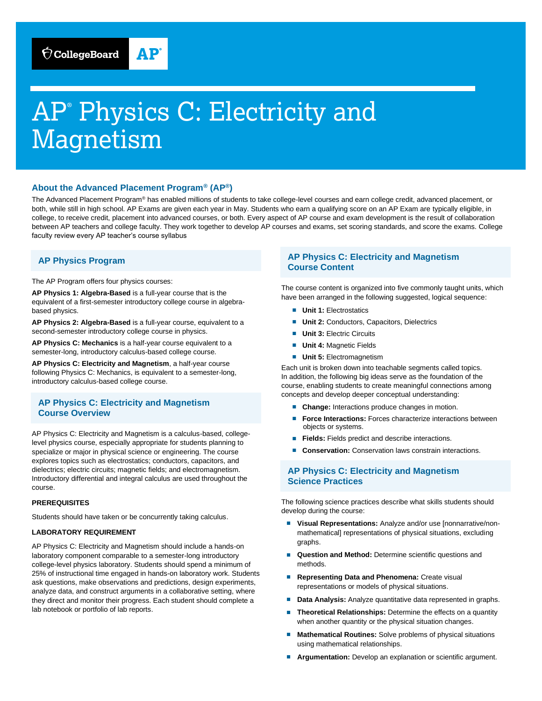# AP® Physics C: Electricity and Magnetism

## **About the Advanced Placement Program® (AP®)**

The Advanced Placement Program® has enabled millions of students to take college-level courses and earn college credit, advanced placement, or both, while still in high school. AP Exams are given each year in May. Students who earn a qualifying score on an AP Exam are typically eligible, in college, to receive credit, placement into advanced courses, or both. Every aspect of AP course and exam development is the result of collaboration between AP teachers and college faculty. They work together to develop AP courses and exams, set scoring standards, and score the exams. College faculty review every AP teacher's course syllabus

# **AP Physics Program**

The AP Program offers four physics courses:

**AP Physics 1: Algebra-Based** is a full-year course that is the equivalent of a first-semester introductory college course in algebrabased physics.

**AP Physics 2: Algebra-Based** is a full-year course, equivalent to a second-semester introductory college course in physics.

**AP Physics C: Mechanics** is a half-year course equivalent to a semester-long, introductory calculus-based college course.

**AP Physics C: Electricity and Magnetism**, a half-year course following Physics C: Mechanics, is equivalent to a semester-long, introductory calculus-based college course.

## **AP Physics C: Electricity and Magnetism Course Overview**

AP Physics C: Electricity and Magnetism is a calculus-based, collegelevel physics course, especially appropriate for students planning to specialize or major in physical science or engineering. The course explores topics such as electrostatics; conductors, capacitors, and dielectrics; electric circuits; magnetic fields; and electromagnetism. Introductory differential and integral calculus are used throughout the course.

#### **PREREQUISITES**

Students should have taken or be concurrently taking calculus.

#### **LABORATORY REQUIREMENT**

AP Physics C: Electricity and Magnetism should include a hands-on laboratory component comparable to a semester-long introductory college-level physics laboratory. Students should spend a minimum of 25% of instructional time engaged in hands-on laboratory work. Students ask questions, make observations and predictions, design experiments, analyze data, and construct arguments in a collaborative setting, where they direct and monitor their progress. Each student should complete a lab notebook or portfolio of lab reports.

# **AP Physics C: Electricity and Magnetism Course Content**

The course content is organized into five commonly taught units, which have been arranged in the following suggested, logical sequence:

- **Unit 1: Electrostatics**
- **Unit 2: Conductors, Capacitors, Dielectrics**
- **Unit 3: Electric Circuits**
- **Unit 4: Magnetic Fields**
- **Unit 5: Electromagnetism**

Each unit is broken down into teachable segments called topics. In addition, the following big ideas serve as the foundation of the course, enabling students to create meaningful connections among concepts and develop deeper conceptual understanding:

- **Change:** Interactions produce changes in motion.
- **Force Interactions:** Forces characterize interactions between objects or systems.
- **Fields:** Fields predict and describe interactions.
- **Conservation:** Conservation laws constrain interactions.

# **AP Physics C: Electricity and Magnetism Science Practices**

The following science practices describe what skills students should develop during the course:

- Visual Representations: Analyze and/or use [nonnarrative/nonmathematical] representations of physical situations, excluding graphs.
- **Question and Method:** Determine scientific questions and methods.
- **Representing Data and Phenomena: Create visual** representations or models of physical situations.
- **Data Analysis:** Analyze quantitative data represented in graphs.
- **Theoretical Relationships:** Determine the effects on a quantity when another quantity or the physical situation changes.
- **Mathematical Routines:** Solve problems of physical situations using mathematical relationships.
- Argumentation: Develop an explanation or scientific argument.